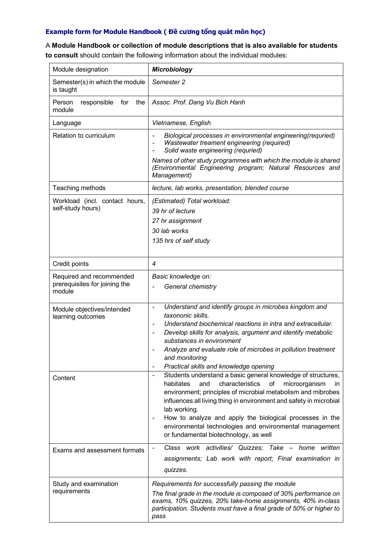## **Example form for Module Handbook ( Đề cương tổng quát môn học)**

A **Module Handbook or collection of module descriptions that is also available for students** 

**to consult** should contain the following information about the individual modules:

| Module designation                                                  | <b>Microbiology</b>                                                                                                                                                                                                                                                                                                                                                                                                                                                                           |
|---------------------------------------------------------------------|-----------------------------------------------------------------------------------------------------------------------------------------------------------------------------------------------------------------------------------------------------------------------------------------------------------------------------------------------------------------------------------------------------------------------------------------------------------------------------------------------|
| Semester(s) in which the module<br>is taught                        | Semester 2                                                                                                                                                                                                                                                                                                                                                                                                                                                                                    |
| Person<br>the<br>responsible<br>for<br>module                       | Assoc. Prof. Dang Vu Bich Hanh                                                                                                                                                                                                                                                                                                                                                                                                                                                                |
| Language                                                            | Vietnamese, English                                                                                                                                                                                                                                                                                                                                                                                                                                                                           |
| Relation to curriculum                                              | Biological processes in environmental engineering(requried)<br>Wastewater treament engineering (required)<br>Solid waste engineering (requried)                                                                                                                                                                                                                                                                                                                                               |
|                                                                     | Names of other study programmes with which the module is shared<br>(Environmental Engineering program; Natural Resources and<br>Management)                                                                                                                                                                                                                                                                                                                                                   |
| Teaching methods                                                    | lecture, lab works, presentation, blended course                                                                                                                                                                                                                                                                                                                                                                                                                                              |
| Workload (incl. contact hours,<br>self-study hours)                 | (Estimated) Total workload:<br>39 hr of lecture<br>27 hr assignment<br>30 lab works<br>135 hrs of self study                                                                                                                                                                                                                                                                                                                                                                                  |
| Credit points                                                       | 4                                                                                                                                                                                                                                                                                                                                                                                                                                                                                             |
| Required and recommended<br>prerequisites for joining the<br>module | Basic knowledge on:<br>General chemistry                                                                                                                                                                                                                                                                                                                                                                                                                                                      |
| Module objectives/intended<br>learning outcomes                     | Understand and identify groups in microbes kingdom and<br>$\overline{\phantom{0}}$<br>taxononic skills.<br>Understand biochemical reactions in intra and extracellular.<br>$\overline{\phantom{a}}$<br>Develop skills for analysis, argument and identify metabolic<br>$\overline{\phantom{a}}$<br>substances in environment<br>Analyze and evaluate role of microbes in pollution treatment<br>and monitoring<br>Practical skills and knowledge opening<br>$\overline{\phantom{0}}$          |
| Content                                                             | Students understand a basic general knowledge of structures,<br>$\qquad \qquad \blacksquare$<br>characteristics<br>habitates<br>and<br>οf<br>microorganism<br><i>in</i><br>environment; principles of microbial metabolism and mibrobes<br>influences all living thing in environment and safety in microbial<br>lab working.<br>How to analyze and apply the biological processes in the<br>environmental technologies and environmental management<br>or fundamental biotechnology, as well |
| Exams and assessment formats                                        | Class work activities/ Quizzes; Take - home<br>written<br>assignments; Lab work with report; Final examination in<br>quizzes.                                                                                                                                                                                                                                                                                                                                                                 |
| Study and examination<br>requirements                               | Requirements for successfully passing the module<br>The final grade in the module is composed of 30% performance on<br>exams, 10% quizzes, 20% take-home assignments, 40% in-class<br>participation. Students must have a final grade of 50% or higher to<br>pass                                                                                                                                                                                                                             |